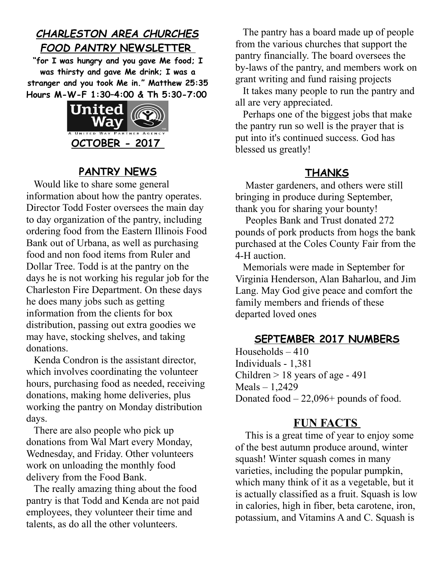# *CHARLESTON AREA CHURCHES FOOD PANTRY* **NEWSLETTER**

**"for I was hungry and you gave Me food; I was thirsty and gave Me drink; I was a stranger and you took Me in." Matthew 25:35 Hours M-W-F 1:30–4:00 & Th 5:30-7:00**



## **PANTRY NEWS**

 Would like to share some general information about how the pantry operates. Director Todd Foster oversees the main day to day organization of the pantry, including ordering food from the Eastern Illinois Food Bank out of Urbana, as well as purchasing food and non food items from Ruler and Dollar Tree. Todd is at the pantry on the days he is not working his regular job for the Charleston Fire Department. On these days he does many jobs such as getting information from the clients for box distribution, passing out extra goodies we may have, stocking shelves, and taking donations.

 Kenda Condron is the assistant director, which involves coordinating the volunteer hours, purchasing food as needed, receiving donations, making home deliveries, plus working the pantry on Monday distribution days.

 There are also people who pick up donations from Wal Mart every Monday, Wednesday, and Friday. Other volunteers work on unloading the monthly food delivery from the Food Bank.

 The really amazing thing about the food pantry is that Todd and Kenda are not paid employees, they volunteer their time and talents, as do all the other volunteers.

 The pantry has a board made up of people from the various churches that support the pantry financially. The board oversees the by-laws of the pantry, and members work on grant writing and fund raising projects

 It takes many people to run the pantry and all are very appreciated.

 Perhaps one of the biggest jobs that make the pantry run so well is the prayer that is put into it's continued success. God has blessed us greatly!

#### **THANKS**

 Master gardeners, and others were still bringing in produce during September, thank you for sharing your bounty!

 Peoples Bank and Trust donated 272 pounds of pork products from hogs the bank purchased at the Coles County Fair from the 4-H auction.

 Memorials were made in September for Virginia Henderson, Alan Baharlou, and Jim Lang. May God give peace and comfort the family members and friends of these departed loved ones

## **SEPTEMBER 2017 NUMBERS**

Households  $-410$ Individuals - 1,381 Children  $> 18$  years of age - 491 Meals – 1,2429 Donated food  $-22,096+$  pounds of food.

## **FUN FACTS**

 This is a great time of year to enjoy some of the best autumn produce around, winter squash! Winter squash comes in many varieties, including the popular pumpkin, which many think of it as a vegetable, but it is actually classified as a fruit. Squash is low in calories, high in fiber, beta carotene, iron, potassium, and Vitamins A and C. Squash is